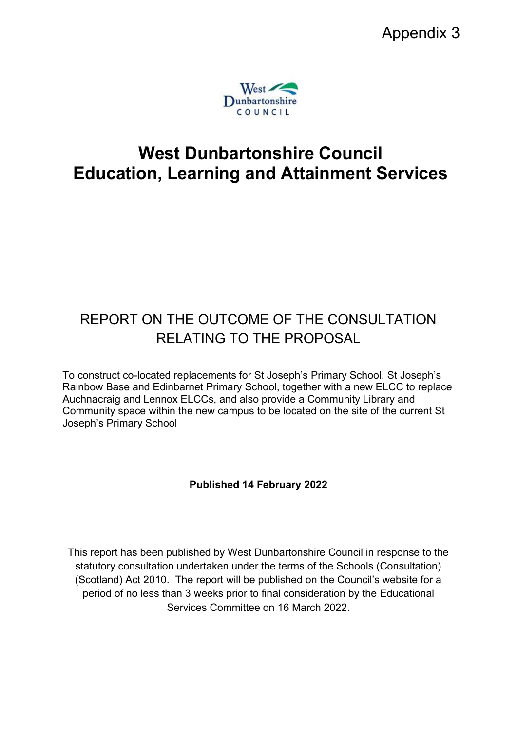

# **West Dunbartonshire Council Education, Learning and Attainment Services**

# REPORT ON THE OUTCOME OF THE CONSULTATION RELATING TO THE PROPOSAL

To construct co-located replacements for St Joseph's Primary School, St Joseph's Rainbow Base and Edinbarnet Primary School, together with a new ELCC to replace Auchnacraig and Lennox ELCCs, and also provide a Community Library and Community space within the new campus to be located on the site of the current St Joseph's Primary School

# **Published 14 February 2022**

This report has been published by West Dunbartonshire Council in response to the statutory consultation undertaken under the terms of the Schools (Consultation) (Scotland) Act 2010. The report will be published on the Council's website for a period of no less than 3 weeks prior to final consideration by the Educational Services Committee on 16 March 2022.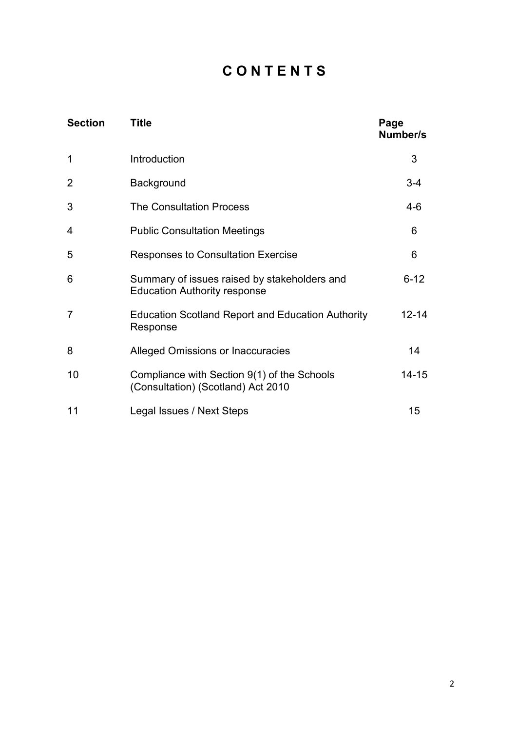# **C O N T E N T S**

| <b>Section</b> | <b>Title</b>                                                                        | Page<br>Number/s |
|----------------|-------------------------------------------------------------------------------------|------------------|
| $\mathbf 1$    | Introduction                                                                        | 3                |
| $\overline{2}$ | Background                                                                          | $3 - 4$          |
| 3              | <b>The Consultation Process</b>                                                     | $4 - 6$          |
| 4              | <b>Public Consultation Meetings</b>                                                 | 6                |
| 5              | <b>Responses to Consultation Exercise</b>                                           | 6                |
| 6              | Summary of issues raised by stakeholders and<br><b>Education Authority response</b> | $6 - 12$         |
| $\overline{7}$ | <b>Education Scotland Report and Education Authority</b><br>Response                | $12 - 14$        |
| 8              | <b>Alleged Omissions or Inaccuracies</b>                                            | 14               |
| 10             | Compliance with Section 9(1) of the Schools<br>(Consultation) (Scotland) Act 2010   | $14 - 15$        |
| 11             | Legal Issues / Next Steps                                                           | 15               |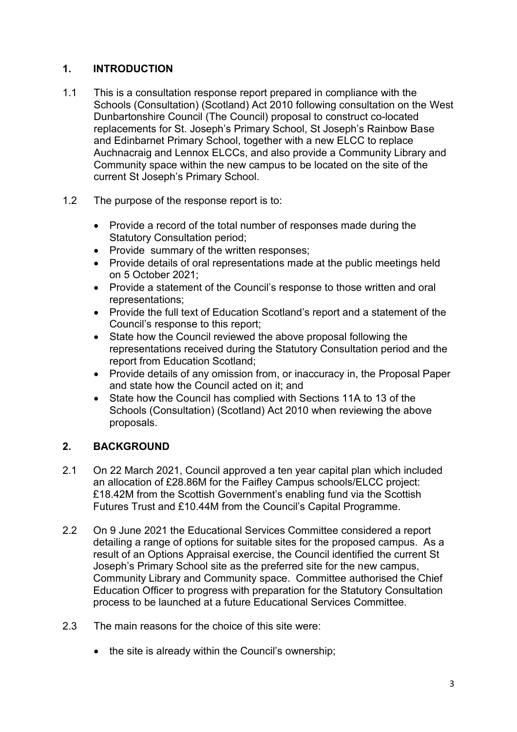# **1. INTRODUCTION**

- 1.1 This is a consultation response report prepared in compliance with the Schools (Consultation) (Scotland) Act 2010 following consultation on the West Dunbartonshire Council (The Council) proposal to construct co-located replacements for St. Joseph's Primary School, St Joseph's Rainbow Base and Edinbarnet Primary School, together with a new ELCC to replace Auchnacraig and Lennox ELCCs, and also provide a Community Library and Community space within the new campus to be located on the site of the current St Joseph's Primary School.
- 1.2 The purpose of the response report is to:
	- Provide a record of the total number of responses made during the Statutory Consultation period;
	- Provide summary of the written responses;
	- Provide details of oral representations made at the public meetings held on 5 October 2021;
	- Provide a statement of the Council's response to those written and oral representations;
	- Provide the full text of Education Scotland's report and a statement of the Council's response to this report;
	- State how the Council reviewed the above proposal following the representations received during the Statutory Consultation period and the report from Education Scotland;
	- Provide details of any omission from, or inaccuracy in, the Proposal Paper and state how the Council acted on it; and
	- State how the Council has complied with Sections 11A to 13 of the Schools (Consultation) (Scotland) Act 2010 when reviewing the above proposals.

# **2. BACKGROUND**

- 2.1 On 22 March 2021, Council approved a ten year capital plan which included an allocation of £28.86M for the Faifley Campus schools/ELCC project: £18.42M from the Scottish Government's enabling fund via the Scottish Futures Trust and £10.44M from the Council's Capital Programme.
- 2.2 On 9 June 2021 the Educational Services Committee considered a report detailing a range of options for suitable sites for the proposed campus. As a result of an Options Appraisal exercise, the Council identified the current St Joseph's Primary School site as the preferred site for the new campus, Community Library and Community space. Committee authorised the Chief Education Officer to progress with preparation for the Statutory Consultation process to be launched at a future Educational Services Committee.
- 2.3 The main reasons for the choice of this site were:
	- the site is already within the Council's ownership;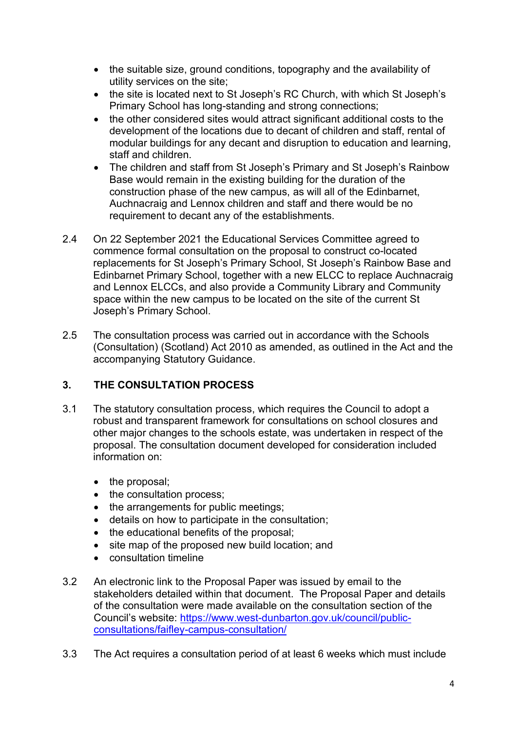- the suitable size, ground conditions, topography and the availability of utility services on the site;
- the site is located next to St Joseph's RC Church, with which St Joseph's Primary School has long-standing and strong connections;
- the other considered sites would attract significant additional costs to the development of the locations due to decant of children and staff, rental of modular buildings for any decant and disruption to education and learning, staff and children.
- The children and staff from St Joseph's Primary and St Joseph's Rainbow Base would remain in the existing building for the duration of the construction phase of the new campus, as will all of the Edinbarnet, Auchnacraig and Lennox children and staff and there would be no requirement to decant any of the establishments.
- 2.4 On 22 September 2021 the Educational Services Committee agreed to commence formal consultation on the proposal to construct co-located replacements for St Joseph's Primary School, St Joseph's Rainbow Base and Edinbarnet Primary School, together with a new ELCC to replace Auchnacraig and Lennox ELCCs, and also provide a Community Library and Community space within the new campus to be located on the site of the current St Joseph's Primary School.
- 2.5 The consultation process was carried out in accordance with the Schools (Consultation) (Scotland) Act 2010 as amended, as outlined in the Act and the accompanying Statutory Guidance.

## **3. THE CONSULTATION PROCESS**

- 3.1 The statutory consultation process, which requires the Council to adopt a robust and transparent framework for consultations on school closures and other major changes to the schools estate, was undertaken in respect of the proposal. The consultation document developed for consideration included information on:
	- the proposal:
	- the consultation process;
	- the arrangements for public meetings;
	- details on how to participate in the consultation;
	- the educational benefits of the proposal;
	- site map of the proposed new build location; and
	- consultation timeline
- 3.2 An electronic link to the Proposal Paper was issued by email to the stakeholders detailed within that document. The Proposal Paper and details of the consultation were made available on the consultation section of the Council's website: [https://www.west-dunbarton.gov.uk/council/public](https://www.west-dunbarton.gov.uk/council/public-consultations/faifley-campus-consultation/)[consultations/faifley-campus-consultation/](https://www.west-dunbarton.gov.uk/council/public-consultations/faifley-campus-consultation/)
- 3.3 The Act requires a consultation period of at least 6 weeks which must include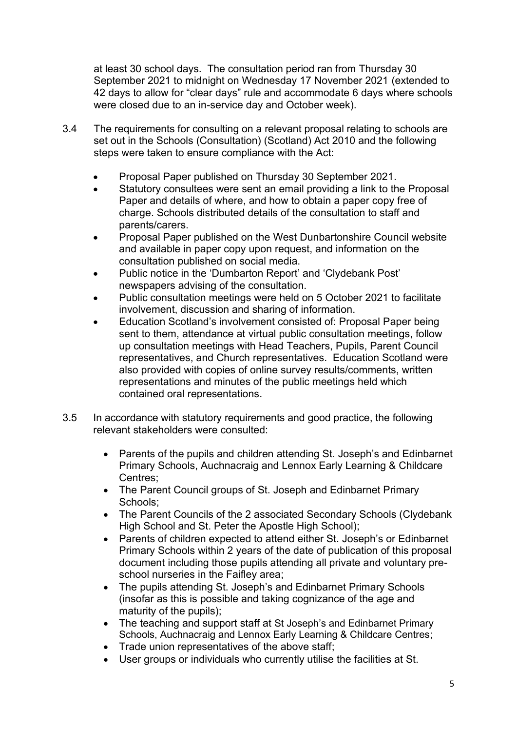at least 30 school days. The consultation period ran from Thursday 30 September 2021 to midnight on Wednesday 17 November 2021 (extended to 42 days to allow for "clear days" rule and accommodate 6 days where schools were closed due to an in-service day and October week).

- 3.4 The requirements for consulting on a relevant proposal relating to schools are set out in the Schools (Consultation) (Scotland) Act 2010 and the following steps were taken to ensure compliance with the Act:
	- Proposal Paper published on Thursday 30 September 2021.
	- Statutory consultees were sent an email providing a link to the Proposal Paper and details of where, and how to obtain a paper copy free of charge. Schools distributed details of the consultation to staff and parents/carers.
	- Proposal Paper published on the West Dunbartonshire Council website and available in paper copy upon request, and information on the consultation published on social media.
	- Public notice in the 'Dumbarton Report' and 'Clydebank Post' newspapers advising of the consultation.
	- Public consultation meetings were held on 5 October 2021 to facilitate involvement, discussion and sharing of information.
	- Education Scotland's involvement consisted of: Proposal Paper being sent to them, attendance at virtual public consultation meetings, follow up consultation meetings with Head Teachers, Pupils, Parent Council representatives, and Church representatives. Education Scotland were also provided with copies of online survey results/comments, written representations and minutes of the public meetings held which contained oral representations.
- 3.5 In accordance with statutory requirements and good practice, the following relevant stakeholders were consulted:
	- Parents of the pupils and children attending St. Joseph's and Edinbarnet Primary Schools, Auchnacraig and Lennox Early Learning & Childcare Centres;
	- The Parent Council groups of St. Joseph and Edinbarnet Primary Schools;
	- The Parent Councils of the 2 associated Secondary Schools (Clydebank High School and St. Peter the Apostle High School);
	- Parents of children expected to attend either St. Joseph's or Edinbarnet Primary Schools within 2 years of the date of publication of this proposal document including those pupils attending all private and voluntary preschool nurseries in the Faifley area;
	- The pupils attending St. Joseph's and Edinbarnet Primary Schools (insofar as this is possible and taking cognizance of the age and maturity of the pupils);
	- The teaching and support staff at St Joseph's and Edinbarnet Primary Schools, Auchnacraig and Lennox Early Learning & Childcare Centres;
	- Trade union representatives of the above staff;
	- User groups or individuals who currently utilise the facilities at St.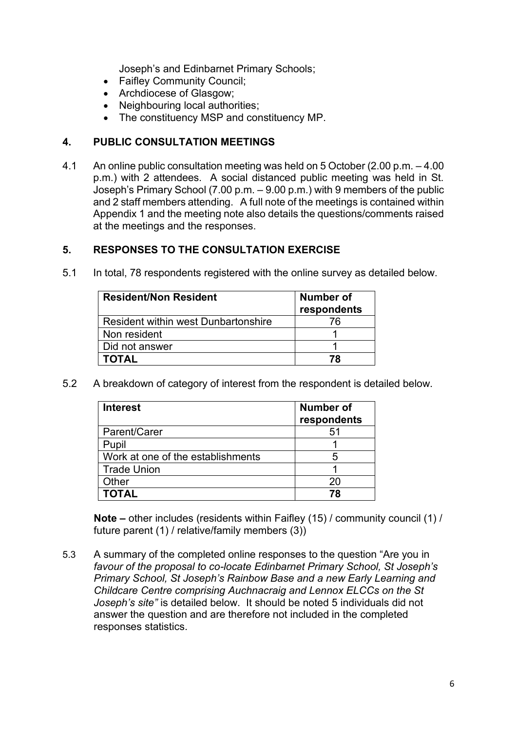Joseph's and Edinbarnet Primary Schools;

- Faifley Community Council;
- Archdiocese of Glasgow;
- Neighbouring local authorities;
- The constituency MSP and constituency MP.

#### **4. PUBLIC CONSULTATION MEETINGS**

4.1 An online public consultation meeting was held on 5 October (2.00 p.m. – 4.00 p.m.) with 2 attendees. A social distanced public meeting was held in St. Joseph's Primary School (7.00 p.m. – 9.00 p.m.) with 9 members of the public and 2 staff members attending. A full note of the meetings is contained within Appendix 1 and the meeting note also details the questions/comments raised at the meetings and the responses.

#### **5. RESPONSES TO THE CONSULTATION EXERCISE**

5.1 In total, 78 respondents registered with the online survey as detailed below.

| <b>Resident/Non Resident</b>               | <b>Number of</b><br>respondents |  |
|--------------------------------------------|---------------------------------|--|
| <b>Resident within west Dunbartonshire</b> | 76                              |  |
| Non resident                               |                                 |  |
| Did not answer                             |                                 |  |
| <b>TOTAL</b>                               | 78                              |  |

5.2 A breakdown of category of interest from the respondent is detailed below.

| <b>Interest</b>                   | <b>Number of</b><br>respondents |
|-----------------------------------|---------------------------------|
| Parent/Carer                      | 51                              |
| Pupil                             |                                 |
| Work at one of the establishments | 5                               |
| <b>Trade Union</b>                |                                 |
| Other                             | 20                              |
| <b>TOTAL</b>                      | 78                              |

**Note –** other includes (residents within Faifley (15) / community council (1) / future parent (1) / relative/family members (3))

5.3 A summary of the completed online responses to the question "Are you in *favour of the proposal to co-locate Edinbarnet Primary School, St Joseph's Primary School, St Joseph's Rainbow Base and a new Early Learning and Childcare Centre comprising Auchnacraig and Lennox ELCCs on the St Joseph's site"* is detailed below. It should be noted 5 individuals did not answer the question and are therefore not included in the completed responses statistics.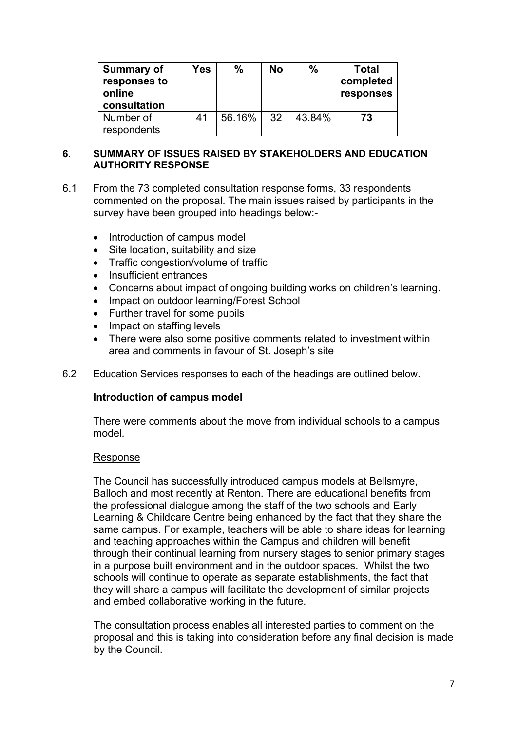| <b>Summary of</b><br>responses to<br>online<br>consultation | Yes | ℅      | No | $\%$   | Total<br>completed<br>responses |
|-------------------------------------------------------------|-----|--------|----|--------|---------------------------------|
| Number of<br>respondents                                    | 41  | 56.16% | 32 | 43.84% | 73                              |

#### **6. SUMMARY OF ISSUES RAISED BY STAKEHOLDERS AND EDUCATION AUTHORITY RESPONSE**

- 6.1 From the 73 completed consultation response forms, 33 respondents commented on the proposal. The main issues raised by participants in the survey have been grouped into headings below:-
	- Introduction of campus model
	- Site location, suitability and size
	- Traffic congestion/volume of traffic
	- Insufficient entrances
	- Concerns about impact of ongoing building works on children's learning.
	- Impact on outdoor learning/Forest School
	- Further travel for some pupils
	- Impact on staffing levels
	- There were also some positive comments related to investment within area and comments in favour of St. Joseph's site
- 6.2 Education Services responses to each of the headings are outlined below.

#### **Introduction of campus model**

There were comments about the move from individual schools to a campus model.

#### Response

The Council has successfully introduced campus models at Bellsmyre, Balloch and most recently at Renton. There are educational benefits from the professional dialogue among the staff of the two schools and Early Learning & Childcare Centre being enhanced by the fact that they share the same campus. For example, teachers will be able to share ideas for learning and teaching approaches within the Campus and children will benefit through their continual learning from nursery stages to senior primary stages in a purpose built environment and in the outdoor spaces. Whilst the two schools will continue to operate as separate establishments, the fact that they will share a campus will facilitate the development of similar projects and embed collaborative working in the future.

The consultation process enables all interested parties to comment on the proposal and this is taking into consideration before any final decision is made by the Council.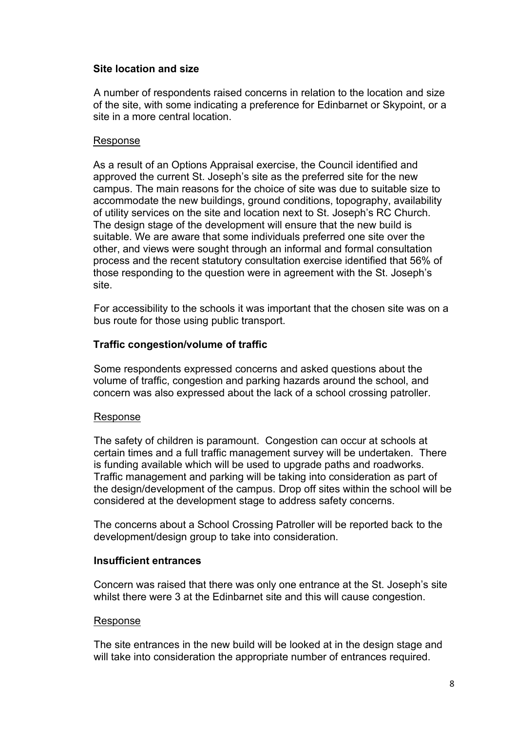### **Site location and size**

 A number of respondents raised concerns in relation to the location and size of the site, with some indicating a preference for Edinbarnet or Skypoint, or a site in a more central location.

#### Response

As a result of an Options Appraisal exercise, the Council identified and approved the current St. Joseph's site as the preferred site for the new campus. The main reasons for the choice of site was due to suitable size to accommodate the new buildings, ground conditions, topography, availability of utility services on the site and location next to St. Joseph's RC Church. The design stage of the development will ensure that the new build is suitable. We are aware that some individuals preferred one site over the other, and views were sought through an informal and formal consultation process and the recent statutory consultation exercise identified that 56% of those responding to the question were in agreement with the St. Joseph's site.

For accessibility to the schools it was important that the chosen site was on a bus route for those using public transport.

## **Traffic congestion/volume of traffic**

Some respondents expressed concerns and asked questions about the volume of traffic, congestion and parking hazards around the school, and concern was also expressed about the lack of a school crossing patroller.

#### Response

The safety of children is paramount. Congestion can occur at schools at certain times and a full traffic management survey will be undertaken. There is funding available which will be used to upgrade paths and roadworks. Traffic management and parking will be taking into consideration as part of the design/development of the campus. Drop off sites within the school will be considered at the development stage to address safety concerns.

The concerns about a School Crossing Patroller will be reported back to the development/design group to take into consideration.

#### **Insufficient entrances**

Concern was raised that there was only one entrance at the St. Joseph's site whilst there were 3 at the Edinbarnet site and this will cause congestion.

#### Response

The site entrances in the new build will be looked at in the design stage and will take into consideration the appropriate number of entrances required.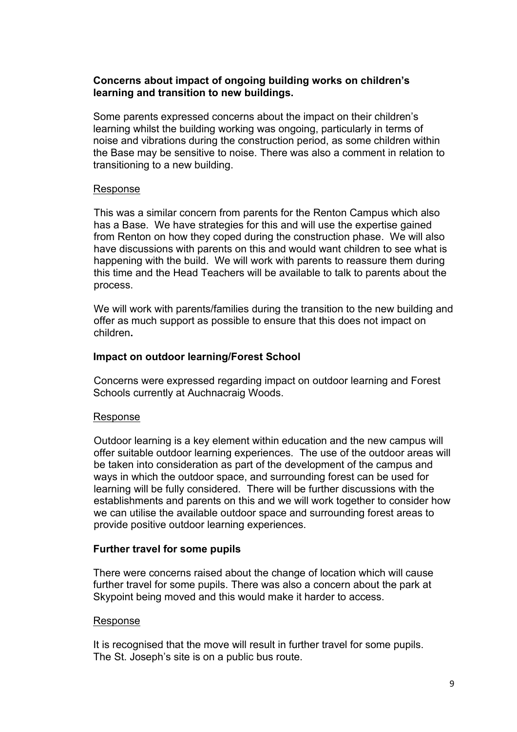#### **Concerns about impact of ongoing building works on children's learning and transition to new buildings.**

Some parents expressed concerns about the impact on their children's learning whilst the building working was ongoing, particularly in terms of noise and vibrations during the construction period, as some children within the Base may be sensitive to noise. There was also a comment in relation to transitioning to a new building.

#### Response

This was a similar concern from parents for the Renton Campus which also has a Base. We have strategies for this and will use the expertise gained from Renton on how they coped during the construction phase. We will also have discussions with parents on this and would want children to see what is happening with the build. We will work with parents to reassure them during this time and the Head Teachers will be available to talk to parents about the process.

We will work with parents/families during the transition to the new building and offer as much support as possible to ensure that this does not impact on children**.** 

#### **Impact on outdoor learning/Forest School**

 Concerns were expressed regarding impact on outdoor learning and Forest Schools currently at Auchnacraig Woods.

#### Response

Outdoor learning is a key element within education and the new campus will offer suitable outdoor learning experiences. The use of the outdoor areas will be taken into consideration as part of the development of the campus and ways in which the outdoor space, and surrounding forest can be used for learning will be fully considered. There will be further discussions with the establishments and parents on this and we will work together to consider how we can utilise the available outdoor space and surrounding forest areas to provide positive outdoor learning experiences.

#### **Further travel for some pupils**

There were concerns raised about the change of location which will cause further travel for some pupils. There was also a concern about the park at Skypoint being moved and this would make it harder to access.

#### Response

It is recognised that the move will result in further travel for some pupils. The St. Joseph's site is on a public bus route.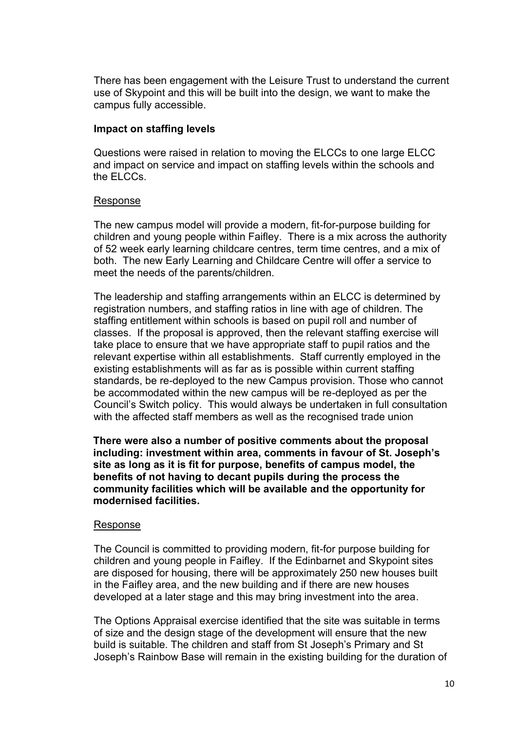There has been engagement with the Leisure Trust to understand the current use of Skypoint and this will be built into the design, we want to make the campus fully accessible.

#### **Impact on staffing levels**

Questions were raised in relation to moving the ELCCs to one large ELCC and impact on service and impact on staffing levels within the schools and the ELCCs.

#### Response

The new campus model will provide a modern, fit-for-purpose building for children and young people within Faifley. There is a mix across the authority of 52 week early learning childcare centres, term time centres, and a mix of both. The new Early Learning and Childcare Centre will offer a service to meet the needs of the parents/children.

The leadership and staffing arrangements within an ELCC is determined by registration numbers, and staffing ratios in line with age of children. The staffing entitlement within schools is based on pupil roll and number of classes. If the proposal is approved, then the relevant staffing exercise will take place to ensure that we have appropriate staff to pupil ratios and the relevant expertise within all establishments. Staff currently employed in the existing establishments will as far as is possible within current staffing standards, be re-deployed to the new Campus provision. Those who cannot be accommodated within the new campus will be re-deployed as per the Council's Switch policy. This would always be undertaken in full consultation with the affected staff members as well as the recognised trade union

**There were also a number of positive comments about the proposal including: investment within area, comments in favour of St. Joseph's site as long as it is fit for purpose, benefits of campus model, the benefits of not having to decant pupils during the process the community facilities which will be available and the opportunity for modernised facilities.** 

#### Response

The Council is committed to providing modern, fit-for purpose building for children and young people in Faifley. If the Edinbarnet and Skypoint sites are disposed for housing, there will be approximately 250 new houses built in the Faifley area, and the new building and if there are new houses developed at a later stage and this may bring investment into the area.

The Options Appraisal exercise identified that the site was suitable in terms of size and the design stage of the development will ensure that the new build is suitable. The children and staff from St Joseph's Primary and St Joseph's Rainbow Base will remain in the existing building for the duration of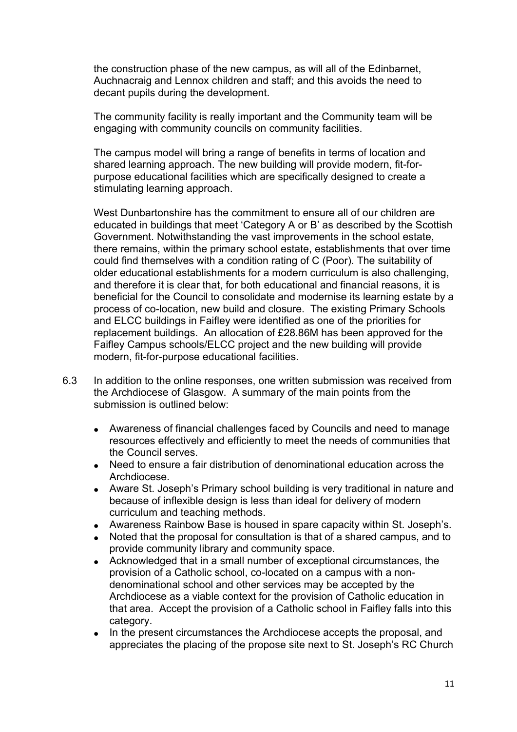the construction phase of the new campus, as will all of the Edinbarnet, Auchnacraig and Lennox children and staff; and this avoids the need to decant pupils during the development.

The community facility is really important and the Community team will be engaging with community councils on community facilities.

The campus model will bring a range of benefits in terms of location and shared learning approach. The new building will provide modern, fit-forpurpose educational facilities which are specifically designed to create a stimulating learning approach.

West Dunbartonshire has the commitment to ensure all of our children are educated in buildings that meet 'Category A or B' as described by the Scottish Government. Notwithstanding the vast improvements in the school estate, there remains, within the primary school estate, establishments that over time could find themselves with a condition rating of C (Poor). The suitability of older educational establishments for a modern curriculum is also challenging, and therefore it is clear that, for both educational and financial reasons, it is beneficial for the Council to consolidate and modernise its learning estate by a process of co-location, new build and closure. The existing Primary Schools and ELCC buildings in Faifley were identified as one of the priorities for replacement buildings. An allocation of £28.86M has been approved for the Faifley Campus schools/ELCC project and the new building will provide modern, fit-for-purpose educational facilities.

- 6.3 In addition to the online responses, one written submission was received from the Archdiocese of Glasgow. A summary of the main points from the submission is outlined below:
	- Awareness of financial challenges faced by Councils and need to manage resources effectively and efficiently to meet the needs of communities that the Council serves.
	- Need to ensure a fair distribution of denominational education across the Archdiocese.
	- Aware St. Joseph's Primary school building is very traditional in nature and because of inflexible design is less than ideal for delivery of modern curriculum and teaching methods.
	- Awareness Rainbow Base is housed in spare capacity within St. Joseph's.
	- Noted that the proposal for consultation is that of a shared campus, and to provide community library and community space.
	- Acknowledged that in a small number of exceptional circumstances, the provision of a Catholic school, co-located on a campus with a nondenominational school and other services may be accepted by the Archdiocese as a viable context for the provision of Catholic education in that area. Accept the provision of a Catholic school in Faifley falls into this category.
	- In the present circumstances the Archdiocese accepts the proposal, and appreciates the placing of the propose site next to St. Joseph's RC Church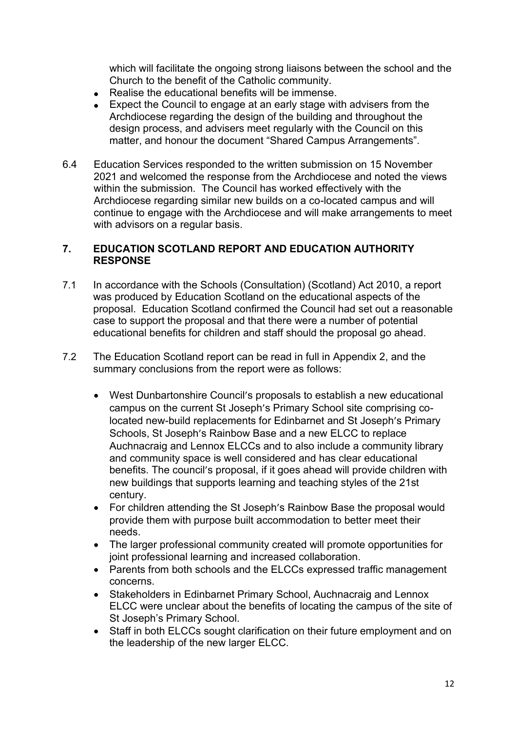which will facilitate the ongoing strong liaisons between the school and the Church to the benefit of the Catholic community.

- Realise the educational benefits will be immense.
- Expect the Council to engage at an early stage with advisers from the Archdiocese regarding the design of the building and throughout the design process, and advisers meet regularly with the Council on this matter, and honour the document "Shared Campus Arrangements".
- 6.4 Education Services responded to the written submission on 15 November 2021 and welcomed the response from the Archdiocese and noted the views within the submission. The Council has worked effectively with the Archdiocese regarding similar new builds on a co-located campus and will continue to engage with the Archdiocese and will make arrangements to meet with advisors on a regular basis.

### **7. EDUCATION SCOTLAND REPORT AND EDUCATION AUTHORITY RESPONSE**

- 7.1 In accordance with the Schools (Consultation) (Scotland) Act 2010, a report was produced by Education Scotland on the educational aspects of the proposal. Education Scotland confirmed the Council had set out a reasonable case to support the proposal and that there were a number of potential educational benefits for children and staff should the proposal go ahead.
- 7.2 The Education Scotland report can be read in full in Appendix 2, and the summary conclusions from the report were as follows:
	- West Dunbartonshire Council's proposals to establish a new educational campus on the current St Joseph's Primary School site comprising colocated new-build replacements for Edinbarnet and St Joseph's Primary Schools, St Joseph's Rainbow Base and a new ELCC to replace Auchnacraig and Lennox ELCCs and to also include a community library and community space is well considered and has clear educational benefits. The council's proposal, if it goes ahead will provide children with new buildings that supports learning and teaching styles of the 21st century.
	- For children attending the St Joseph's Rainbow Base the proposal would provide them with purpose built accommodation to better meet their needs.
	- The larger professional community created will promote opportunities for joint professional learning and increased collaboration.
	- Parents from both schools and the ELCCs expressed traffic management concerns.
	- Stakeholders in Edinbarnet Primary School, Auchnacraig and Lennox ELCC were unclear about the benefits of locating the campus of the site of St Joseph's Primary School.
	- Staff in both ELCCs sought clarification on their future employment and on the leadership of the new larger ELCC.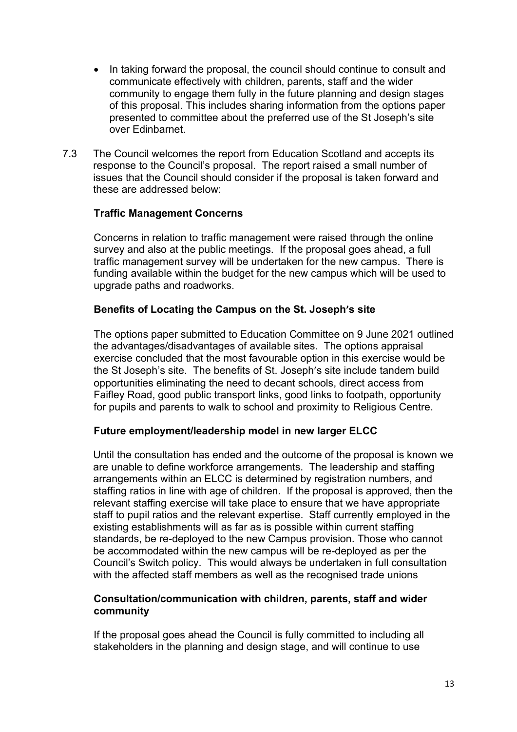- In taking forward the proposal, the council should continue to consult and communicate effectively with children, parents, staff and the wider community to engage them fully in the future planning and design stages of this proposal. This includes sharing information from the options paper presented to committee about the preferred use of the St Joseph's site over Edinbarnet.
- 7.3 The Council welcomes the report from Education Scotland and accepts its response to the Council's proposal. The report raised a small number of issues that the Council should consider if the proposal is taken forward and these are addressed below:

## **Traffic Management Concerns**

Concerns in relation to traffic management were raised through the online survey and also at the public meetings. If the proposal goes ahead, a full traffic management survey will be undertaken for the new campus. There is funding available within the budget for the new campus which will be used to upgrade paths and roadworks.

#### **Benefits of Locating the Campus on the St. Joseph's site**

The options paper submitted to Education Committee on 9 June 2021 outlined the advantages/disadvantages of available sites. The options appraisal exercise concluded that the most favourable option in this exercise would be the St Joseph's site. The benefits of St. Joseph's site include tandem build opportunities eliminating the need to decant schools, direct access from Faifley Road, good public transport links, good links to footpath, opportunity for pupils and parents to walk to school and proximity to Religious Centre.

#### **Future employment/leadership model in new larger ELCC**

Until the consultation has ended and the outcome of the proposal is known we are unable to define workforce arrangements. The leadership and staffing arrangements within an ELCC is determined by registration numbers, and staffing ratios in line with age of children. If the proposal is approved, then the relevant staffing exercise will take place to ensure that we have appropriate staff to pupil ratios and the relevant expertise. Staff currently employed in the existing establishments will as far as is possible within current staffing standards, be re-deployed to the new Campus provision. Those who cannot be accommodated within the new campus will be re-deployed as per the Council's Switch policy. This would always be undertaken in full consultation with the affected staff members as well as the recognised trade unions

## **Consultation/communication with children, parents, staff and wider community**

If the proposal goes ahead the Council is fully committed to including all stakeholders in the planning and design stage, and will continue to use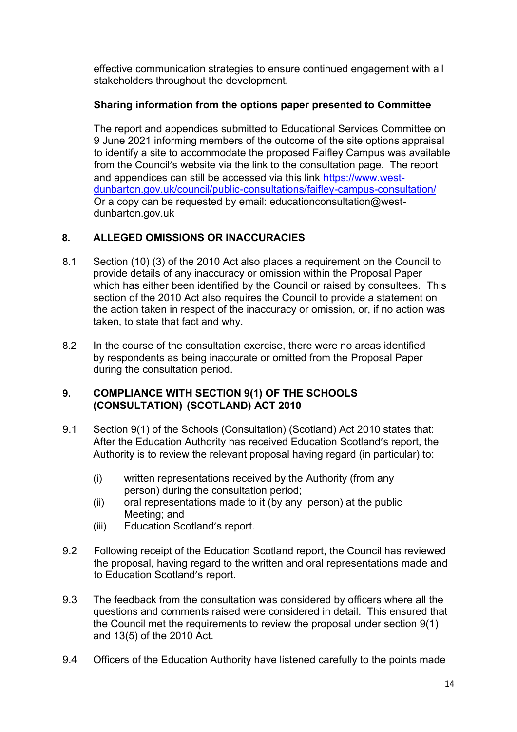effective communication strategies to ensure continued engagement with all stakeholders throughout the development.

# **Sharing information from the options paper presented to Committee**

The report and appendices submitted to Educational Services Committee on 9 June 2021 informing members of the outcome of the site options appraisal to identify a site to accommodate the proposed Faifley Campus was available from the Council's website via the link to the consultation page. The report and appendices can still be accessed via this link [https://www.west](https://www.west-dunbarton.gov.uk/council/public-consultations/faifley-campus-consultation/)[dunbarton.gov.uk/council/public-consultations/faifley-campus-consultation/](https://www.west-dunbarton.gov.uk/council/public-consultations/faifley-campus-consultation/) Or a copy can be requested by email: educationconsultation@westdunbarton.gov.uk

# **8. ALLEGED OMISSIONS OR INACCURACIES**

- 8.1 Section (10) (3) of the 2010 Act also places a requirement on the Council to provide details of any inaccuracy or omission within the Proposal Paper which has either been identified by the Council or raised by consultees. This section of the 2010 Act also requires the Council to provide a statement on the action taken in respect of the inaccuracy or omission, or, if no action was taken, to state that fact and why.
- 8.2 In the course of the consultation exercise, there were no areas identified by respondents as being inaccurate or omitted from the Proposal Paper during the consultation period.

## **9. COMPLIANCE WITH SECTION 9(1) OF THE SCHOOLS (CONSULTATION) (SCOTLAND) ACT 2010**

- 9.1 Section 9(1) of the Schools (Consultation) (Scotland) Act 2010 states that: After the Education Authority has received Education Scotland's report, the Authority is to review the relevant proposal having regard (in particular) to:
	- (i) written representations received by the Authority (from any person) during the consultation period;
	- (ii) oral representations made to it (by any person) at the public Meeting; and
	- (iii) Education Scotland's report.
- 9.2 Following receipt of the Education Scotland report, the Council has reviewed the proposal, having regard to the written and oral representations made and to Education Scotland's report.
- 9.3 The feedback from the consultation was considered by officers where all the questions and comments raised were considered in detail. This ensured that the Council met the requirements to review the proposal under section 9(1) and 13(5) of the 2010 Act.
- 9.4 Officers of the Education Authority have listened carefully to the points made